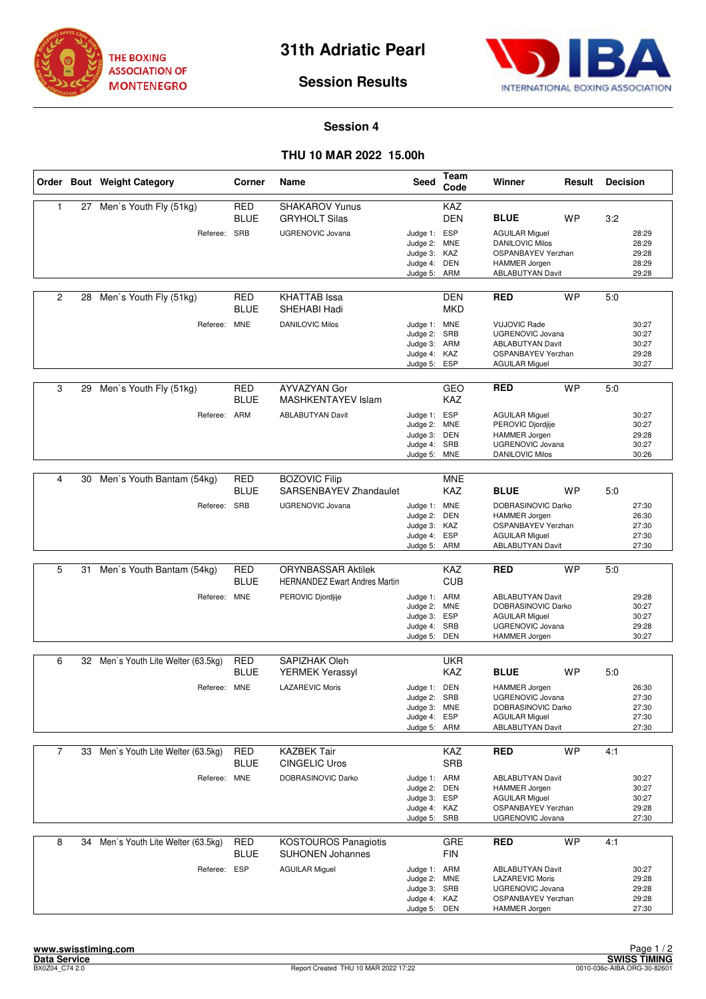



# **Session Results**

### **Session 4**

## **THU 10 MAR 2022 15.00h**

|                |    | Order Bout Weight Category          | Corner                    | Name                                                              | Seed                                                                         | Team<br>Code             | Winner                                                                                                                          | Result    | <b>Decision</b> |                                           |
|----------------|----|-------------------------------------|---------------------------|-------------------------------------------------------------------|------------------------------------------------------------------------------|--------------------------|---------------------------------------------------------------------------------------------------------------------------------|-----------|-----------------|-------------------------------------------|
| 1              | 27 | Men's Youth Fly (51kg)              | <b>RED</b><br><b>BLUE</b> | <b>SHAKAROV Yunus</b><br><b>GRYHOLT Silas</b>                     |                                                                              | KAZ<br><b>DEN</b>        | <b>BLUE</b>                                                                                                                     | <b>WP</b> | 3:2             |                                           |
|                |    | Referee: SRB                        |                           | <b>UGRENOVIC Jovana</b>                                           | Judge 1: ESP<br>Judge 2: MNE<br>Judge 3: KAZ<br>Judge 4: DEN<br>Judge 5:     | ARM                      | <b>AGUILAR Miguel</b><br><b>DANILOVIC Milos</b><br>OSPANBAYEV Yerzhan<br><b>HAMMER Jorgen</b><br><b>ABLABUTYAN Davit</b>        |           |                 | 28:29<br>28:29<br>29:28<br>28:29<br>29:28 |
| $\overline{2}$ | 28 | Men's Youth Fly (51kg)              | <b>RED</b><br><b>BLUE</b> | <b>KHATTAB</b> Issa<br>SHEHABI Hadi                               |                                                                              | <b>DEN</b><br><b>MKD</b> | <b>RED</b>                                                                                                                      | <b>WP</b> | 5:0             |                                           |
|                |    | Referee: MNE                        |                           | <b>DANILOVIC Milos</b>                                            | Judge 1: MNE<br>Judge 2: SRB<br>Judge 3: ARM<br>Judge 4: KAZ<br>Judge 5: ESP |                          | <b>VUJOVIC Rade</b><br><b>UGRENOVIC Jovana</b><br><b>ABLABUTYAN Davit</b><br><b>OSPANBAYEV Yerzhan</b><br><b>AGUILAR Miguel</b> |           |                 | 30:27<br>30:27<br>30:27<br>29:28<br>30:27 |
| 3              | 29 | Men's Youth Fly (51kg)              | RED<br><b>BLUE</b>        | AYVAZYAN Gor<br><b>MASHKENTAYEV Islam</b>                         |                                                                              | GEO<br><b>KAZ</b>        | <b>RED</b>                                                                                                                      | <b>WP</b> | 5:0             |                                           |
|                |    | Referee:                            | ARM                       | <b>ABLABUTYAN Davit</b>                                           | Judge 1: ESP<br>Judge 2:<br>Judge 3: DEN<br>Judge 4:<br>Judge 5: MNE         | <b>MNE</b><br>SRB        | <b>AGUILAR Miguel</b><br>PEROVIC Djordjije<br>HAMMER Jorgen<br><b>UGRENOVIC Jovana</b><br><b>DANILOVIC Milos</b>                |           |                 | 30:27<br>30:27<br>29:28<br>30:27<br>30:26 |
|                |    |                                     |                           |                                                                   |                                                                              |                          |                                                                                                                                 |           |                 |                                           |
| 4              | 30 | Men's Youth Bantam (54kg)           | <b>RED</b><br><b>BLUE</b> | <b>BOZOVIC Filip</b><br>SARSENBAYEV Zhandaulet                    |                                                                              | <b>MNE</b><br><b>KAZ</b> | <b>BLUE</b>                                                                                                                     | WP        | 5:0             |                                           |
|                |    | Referee: SRB                        |                           | <b>UGRENOVIC Jovana</b>                                           | Judge 1: MNE<br>Judge 2:<br>Judge 3: KAZ<br>Judge 4: ESP<br>Judge 5: ARM     | <b>DEN</b>               | DOBRASINOVIC Darko<br><b>HAMMER Jorgen</b><br>OSPANBAYEV Yerzhan<br><b>AGUILAR Miguel</b><br><b>ABLABUTYAN Davit</b>            |           |                 | 27:30<br>26:30<br>27:30<br>27:30<br>27:30 |
|                |    |                                     |                           |                                                                   |                                                                              |                          |                                                                                                                                 |           |                 |                                           |
| 5              | 31 | Men's Youth Bantam (54kg)           | <b>RED</b><br><b>BLUE</b> | <b>ORYNBASSAR Aktilek</b><br><b>HERNANDEZ Ewart Andres Martin</b> |                                                                              | KAZ<br><b>CUB</b>        | <b>RED</b>                                                                                                                      | <b>WP</b> | 5:0             |                                           |
|                |    | Referee: MNE                        |                           | PEROVIC Djordjije                                                 | Judge 1: ARM<br>Judge 2: MNE<br>Judge 3: ESP<br>Judge 4: SRB<br>Judge 5:     | DEN                      | <b>ABLABUTYAN Davit</b><br>DOBRASINOVIC Darko<br><b>AGUILAR Miguel</b><br>UGRENOVIC Jovana<br><b>HAMMER Jorgen</b>              |           |                 | 29:28<br>30:27<br>30:27<br>29:28<br>30:27 |
| 6              |    | 32 Men's Youth Lite Welter (63.5kg) | RED                       | SAPIZHAK Oleh                                                     |                                                                              | <b>UKR</b>               |                                                                                                                                 |           |                 |                                           |
|                |    |                                     | <b>BLUE</b>               | <b>YERMEK Yerassyl</b>                                            |                                                                              | KAZ                      | <b>BLUE</b>                                                                                                                     | <b>WP</b> | 5:0             |                                           |
|                |    | Referee: MNE                        |                           | <b>LAZAREVIC Moris</b>                                            | Judge 1: DEN<br>Judge 2:<br>Judge 3: MNE<br>Judge 4: ESP<br>Judge 5: ARM     | SRB                      | HAMMER Jorgen<br>UGRENOVIC Jovana<br>DOBRASINOVIC Darko<br><b>AGUILAR Miguel</b><br><b>ABLABUTYAN Davit</b>                     |           |                 | 26:30<br>27:30<br>27:30<br>27:30<br>27:30 |
| $\overline{7}$ | 33 | Men's Youth Lite Welter (63.5kg)    | RED                       | <b>KAZBEK Tair</b>                                                |                                                                              | KAZ                      | <b>RED</b>                                                                                                                      | <b>WP</b> | 4:1             |                                           |
|                |    |                                     | <b>BLUE</b>               | <b>CINGELIC Uros</b>                                              |                                                                              | <b>SRB</b>               |                                                                                                                                 |           |                 |                                           |
|                |    | Referee: MNE                        |                           | DOBRASINOVIC Darko                                                | Judge 1: ARM<br>Judge 2: DEN<br>Judge 3: ESP<br>Judge 4: KAZ<br>Judge 5: SRB |                          | <b>ABLABUTYAN Davit</b><br><b>HAMMER Jorgen</b><br><b>AGUILAR Miquel</b><br>OSPANBAYEV Yerzhan<br><b>UGRENOVIC Jovana</b>       |           |                 | 30:27<br>30:27<br>30:27<br>29:28<br>27:30 |
| 8              | 34 | Men's Youth Lite Welter (63.5kg)    | <b>RED</b><br>BLUE        | <b>KOSTOUROS Panagiotis</b><br><b>SUHONEN Johannes</b>            |                                                                              | GRE<br><b>FIN</b>        | <b>RED</b>                                                                                                                      | <b>WP</b> | 4:1             |                                           |
|                |    | Referee: ESP                        |                           | <b>AGUILAR Miguel</b>                                             | Judge 1: ARM<br>Judge 2: MNE<br>Judge 3: SRB<br>Judge 4: KAZ<br>Judge 5: DEN |                          | <b>ABLABUTYAN Davit</b><br><b>LAZAREVIC Moris</b><br><b>UGRENOVIC Jovana</b><br><b>OSPANBAYEV Yerzhan</b><br>HAMMER Jorgen      |           |                 | 30:27<br>29:28<br>29:28<br>29:28<br>27:30 |